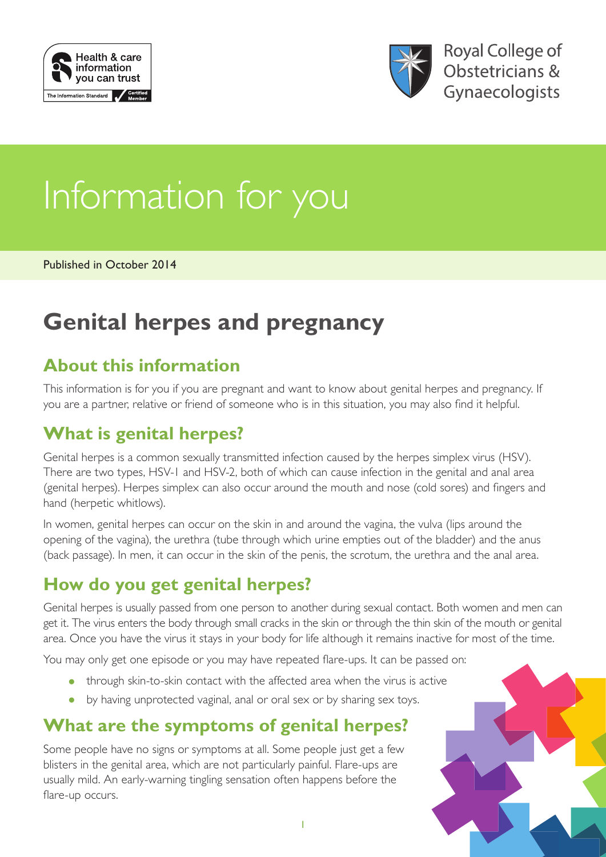



# Information for you

Published in October 2014

## **Genital herpes and pregnancy**

## **About this information**

This information is for you if you are pregnant and want to know about genital herpes and pregnancy. If you are a partner, relative or friend of someone who is in this situation, you may also find it helpful.

## **What is genital herpes?**

Genital herpes is a common sexually transmitted infection caused by the herpes simplex virus (HSV). There are two types, HSV-1 and HSV-2, both of which can cause infection in the genital and anal area (genital herpes). Herpes simplex can also occur around the mouth and nose (cold sores) and fingers and hand (herpetic whitlows).

In women, genital herpes can occur on the skin in and around the vagina, the vulva (lips around the opening of the vagina), the urethra (tube through which urine empties out of the bladder) and the anus (back passage). In men, it can occur in the skin of the penis, the scrotum, the urethra and the anal area.

## **How do you get genital herpes?**

Genital herpes is usually passed from one person to another during sexual contact. Both women and men can get it. The virus enters the body through small cracks in the skin or through the thin skin of the mouth or genital area. Once you have the virus it stays in your body for life although it remains inactive for most of the time.

You may only get one episode or you may have repeated flare-ups. It can be passed on:

- through skin-to-skin contact with the affected area when the virus is active
- by having unprotected vaginal, anal or oral sex or by sharing sex toys.

## **What are the symptoms of genital herpes?**

Some people have no signs or symptoms at all. Some people just get a few blisters in the genital area, which are not particularly painful. Flare-ups are usually mild. An early-warning tingling sensation often happens before the flare-up occurs.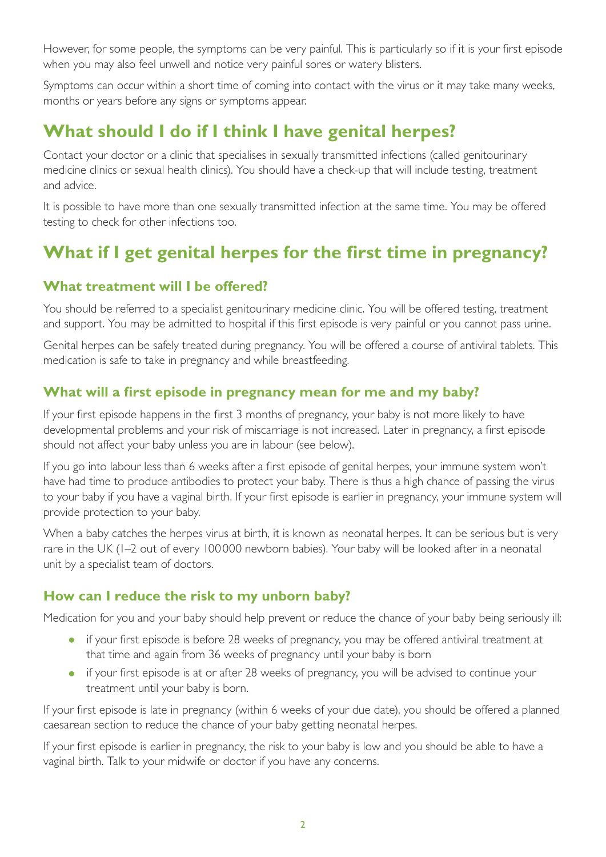However, for some people, the symptoms can be very painful. This is particularly so if it is your first episode when you may also feel unwell and notice very painful sores or watery blisters.

Symptoms can occur within a short time of coming into contact with the virus or it may take many weeks, months or years before any signs or symptoms appear.

## **What should I do if I think I have genital herpes?**

Contact your doctor or a clinic that specialises in sexually transmitted infections (called genitourinary medicine clinics or sexual health clinics). You should have a check-up that will include testing, treatment and advice.

It is possible to have more than one sexually transmitted infection at the same time. You may be offered testing to check for other infections too.

## **What if I get genital herpes for the first time in pregnancy?**

#### **What treatment will I be offered?**

You should be referred to a specialist genitourinary medicine clinic. You will be offered testing, treatment and support. You may be admitted to hospital if this first episode is very painful or you cannot pass urine.

Genital herpes can be safely treated during pregnancy. You will be offered a course of antiviral tablets. This medication is safe to take in pregnancy and while breastfeeding.

#### **What will a first episode in pregnancy mean for me and my baby?**

If your first episode happens in the first 3 months of pregnancy, your baby is not more likely to have developmental problems and your risk of miscarriage is not increased. Later in pregnancy, a first episode should not affect your baby unless you are in labour (see below).

If you go into labour less than 6 weeks after a first episode of genital herpes, your immune system won't have had time to produce antibodies to protect your baby. There is thus a high chance of passing the virus to your baby if you have a vaginal birth. If your first episode is earlier in pregnancy, your immune system will provide protection to your baby.

When a baby catches the herpes virus at birth, it is known as neonatal herpes. It can be serious but is very rare in the UK (1–2 out of every 100 000 newborn babies). Your baby will be looked after in a neonatal unit by a specialist team of doctors.

#### **How can I reduce the risk to my unborn baby?**

Medication for you and your baby should help prevent or reduce the chance of your baby being seriously ill:

- if your first episode is before 28 weeks of pregnancy, you may be offered antiviral treatment at that time and again from 36 weeks of pregnancy until your baby is born
- if your first episode is at or after 28 weeks of pregnancy, you will be advised to continue your treatment until your baby is born.

If your first episode is late in pregnancy (within 6 weeks of your due date), you should be offered a planned caesarean section to reduce the chance of your baby getting neonatal herpes.

If your first episode is earlier in pregnancy, the risk to your baby is low and you should be able to have a vaginal birth. Talk to your midwife or doctor if you have any concerns.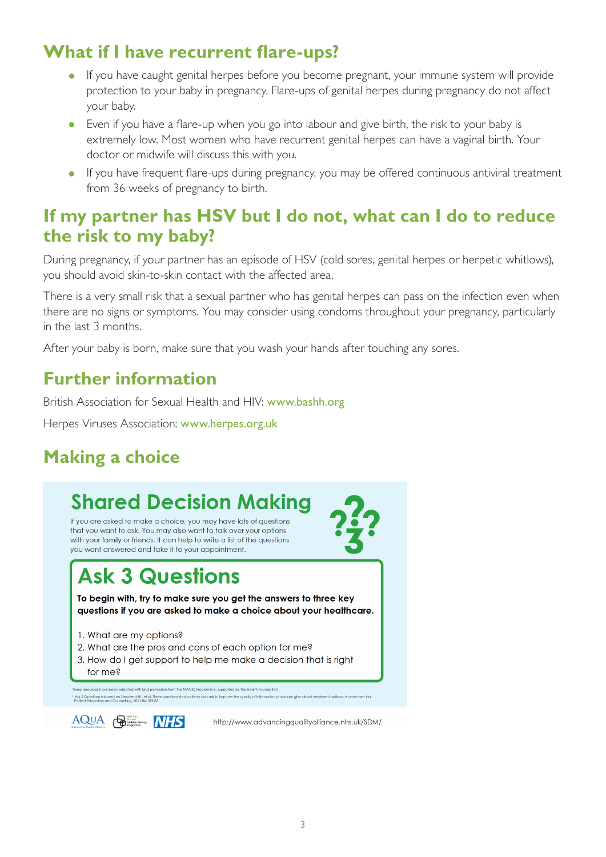## **What if I have recurrent flare-ups?**

- If you have caught genital herpes before you become pregnant, your immune system will provide protection to your baby in pregnancy. Flare-ups of genital herpes during pregnancy do not affect your baby.
- Even if you have a flare-up when you go into labour and give birth, the risk to your baby is extremely low. Most women who have recurrent genital herpes can have a vaginal birth. Your doctor or midwife will discuss this with you.
- If you have frequent flare-ups during pregnancy, you may be offered continuous antiviral treatment from 36 weeks of pregnancy to birth.

### **If my partner has HSV but I do not, what can I do to reduce the risk to my baby?**

During pregnancy, if your partner has an episode of HSV (cold sores, genital herpes or herpetic whitlows), you should avoid skin-to-skin contact with the affected area.

There is a very small risk that a sexual partner who has genital herpes can pass on the infection even when there are no signs or symptoms. You may consider using condoms throughout your pregnancy, particularly in the last 3 months.

After your baby is born, make sure that you wash your hands after touching any sores.

## **Further information**

British Association for Sexual Health and HIV: [www.bashh.org](http://www.bashh.org/)

Herpes Viruses Association: [www.herpes.org.uk](http://www.herpes.org.uk/)

## **Making a choice**